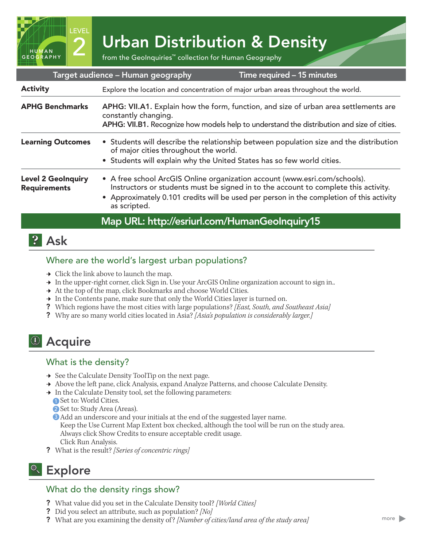2 Urban Distribution & Density<br>
from the GeoInquiries™ collection for Human Geography

| Target audience - Human geography<br>Time required - 15 minutes |                                                                                                                                                                                                                                                                               |
|-----------------------------------------------------------------|-------------------------------------------------------------------------------------------------------------------------------------------------------------------------------------------------------------------------------------------------------------------------------|
| <b>Activity</b>                                                 | Explore the location and concentration of major urban areas throughout the world.                                                                                                                                                                                             |
| <b>APHG Benchmarks</b>                                          | APHG: VII.A1. Explain how the form, function, and size of urban area settlements are<br>constantly changing.<br>APHG: VII.B1. Recognize how models help to understand the distribution and size of cities.                                                                    |
| <b>Learning Outcomes</b>                                        | • Students will describe the relationship between population size and the distribution<br>of major cities throughout the world.<br>• Students will explain why the United States has so few world cities.                                                                     |
| <b>Level 2 GeoInquiry</b><br><b>Requirements</b>                | • A free school ArcGIS Online organization account (www.esri.com/schools).<br>Instructors or students must be signed in to the account to complete this activity.<br>• Approximately 0.101 credits will be used per person in the completion of this activity<br>as scripted. |
|                                                                 |                                                                                                                                                                                                                                                                               |

### Map URL: http://esriurl.com/HumanGeoInquiry15

## **P** Ask

HUMAN GEOGRAPHY LEVEL

#### Where are the world's largest urban populations?

- $\rightarrow$  Click the link above to launch the map.
- $\rightarrow$  In the upper-right corner, click Sign in. Use your ArcGIS Online organization account to sign in..
- $\rightarrow$  At the top of the map, click Bookmarks and choose World Cities.
- $\rightarrow$  In the Contents pane, make sure that only the World Cities layer is turned on.
- ? Which regions have the most cities with large populations? *[East, South, and Southeast Asia]*
- ? Why are so many world cities located in Asia? *[Asia's population is considerably larger.]*

# <sup>4</sup> Acquire

### What is the density?

- **→** See the Calculate Density ToolTip on the next page.
- → Above the left pane, click Analysis, expand Analyze Patterns, and choose Calculate Density.
- → In the Calculate Density tool, set the following parameters:
	- Set to: World Cities. 1
	- 2 Set to: Study Area (Areas).
	- **3** Add an underscore and your initials at the end of the suggested layer name.

Keep the Use Current Map Extent box checked, although the tool will be run on the study area. Always click Show Credits to ensure acceptable credit usage. Click Run Analysis.

? What is the result? *[Series of concentric rings]*

## **R** Explore

### What do the density rings show?

- ? What value did you set in the Calculate Density tool? *[World Cities]*
- ? Did you select an attribute, such as population? *[No]*
- ? What are you examining the density of ? *[Number of cities/land area of the study area]*